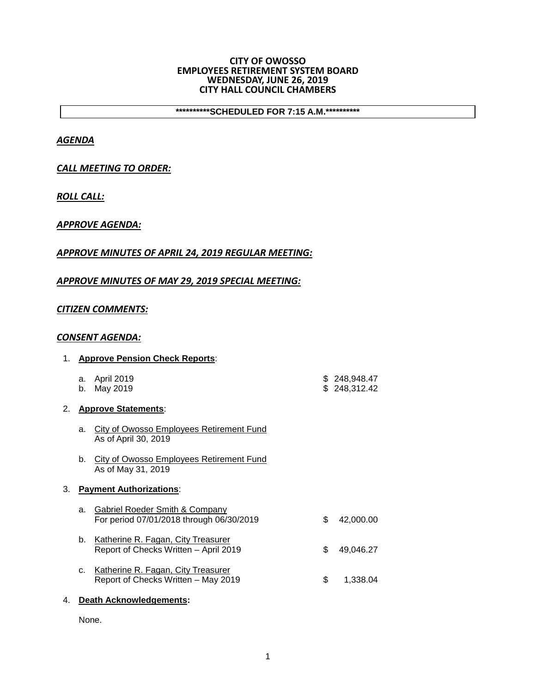#### **CITY OF OWOSSO EMPLOYEES RETIREMENT SYSTEM BOARD WEDNESDAY, JUNE 26, 2019 CITY HALL COUNCIL CHAMBERS**

**\*\*\*\*\*\*\*\*\*\*SCHEDULED FOR 7:15 A.M.\*\*\*\*\*\*\*\*\*\***

## *AGENDA*

# *CALL MEETING TO ORDER:*

# *ROLL CALL:*

## *APPROVE AGENDA:*

## *APPROVE MINUTES OF APRIL 24, 2019 REGULAR MEETING:*

## *APPROVE MINUTES OF MAY 29, 2019 SPECIAL MEETING:*

## *CITIZEN COMMENTS:*

### *CONSENT AGENDA:*

| 1. |                         | <b>Approve Pension Check Reports:</b>                                                 |    |                              |
|----|-------------------------|---------------------------------------------------------------------------------------|----|------------------------------|
|    | a.<br>b.                | April 2019<br>May 2019                                                                |    | \$248,948.47<br>\$248,312.42 |
| 2. |                         | <b>Approve Statements:</b>                                                            |    |                              |
|    | a.                      | <b>City of Owosso Employees Retirement Fund</b><br>As of April 30, 2019               |    |                              |
|    | b.                      | <b>City of Owosso Employees Retirement Fund</b><br>As of May 31, 2019                 |    |                              |
| З. |                         | <b>Payment Authorizations:</b>                                                        |    |                              |
|    | a.                      | <b>Gabriel Roeder Smith &amp; Company</b><br>For period 07/01/2018 through 06/30/2019 | \$ | 42,000.00                    |
|    | b.                      | Katherine R. Fagan, City Treasurer<br>Report of Checks Written - April 2019           | \$ | 49,046.27                    |
|    | C.                      | Katherine R. Fagan, City Treasurer<br>Report of Checks Written - May 2019             | \$ | 1,338.04                     |
| 4. | Death Acknowledgements: |                                                                                       |    |                              |

None.